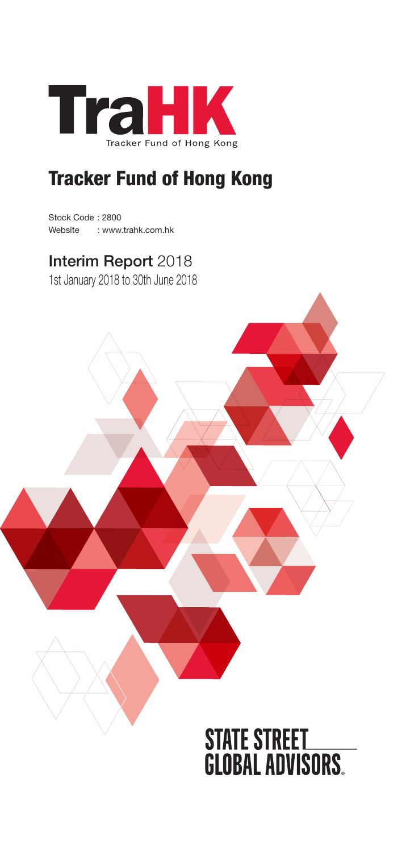

# Tracker Fund of Hong Kong

Stock Code : 2800 Website : www.trahk.com.hk

# Interim Report 2018

1st January 2018 to 30th June 2018

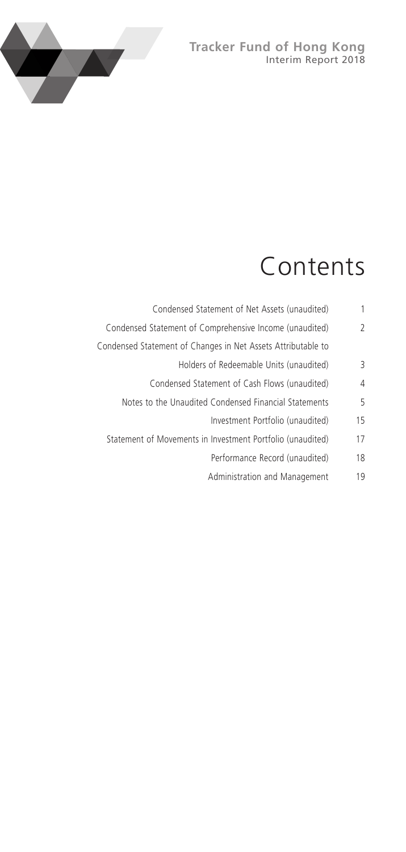### **Tracker Fund of Hong Kong** Interim Report 2018



# Contents

| 1                        | Condensed Statement of Net Assets (unaudited)                |
|--------------------------|--------------------------------------------------------------|
| $\overline{\phantom{a}}$ | Condensed Statement of Comprehensive Income (unaudited)      |
|                          | Condensed Statement of Changes in Net Assets Attributable to |
| 3                        | Holders of Redeemable Units (unaudited)                      |
| 4                        | Condensed Statement of Cash Flows (unaudited)                |
| 5                        | Notes to the Unaudited Condensed Financial Statements        |
| 15                       | Investment Portfolio (unaudited)                             |
| 17                       | Statement of Movements in Investment Portfolio (unaudited)   |
| 18                       | Performance Record (unaudited)                               |
| 19                       | Administration and Management                                |
|                          |                                                              |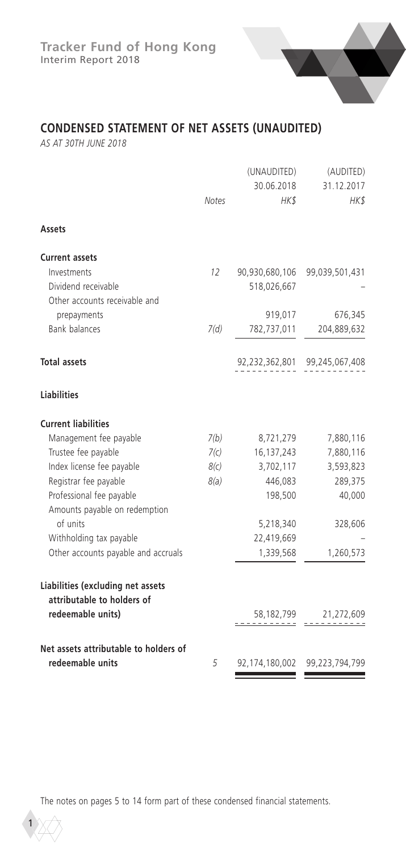# **CONDENSED STATEMENT OF NET ASSETS (UNAUDITED)**

*AS AT 30TH JUNE 2018*

|                                                                                      | Notes | (UNAUDITED)<br>30.06.2018<br>HKS | (AUDITED)<br>31.12.2017<br>HK\$ |
|--------------------------------------------------------------------------------------|-------|----------------------------------|---------------------------------|
| Assets                                                                               |       |                                  |                                 |
| <b>Current assets</b>                                                                |       |                                  |                                 |
| Investments                                                                          | 12    |                                  | 90,930,680,106 99,039,501,431   |
| Dividend receivable                                                                  |       | 518,026,667                      |                                 |
| Other accounts receivable and                                                        |       |                                  |                                 |
| prepayments                                                                          |       | 919,017                          | 676,345                         |
| <b>Bank balances</b>                                                                 | 7(d)  | 782,737,011                      | 204,889,632                     |
| <b>Total assets</b>                                                                  |       |                                  | 92,232,362,801 99,245,067,408   |
| <b>Liabilities</b>                                                                   |       |                                  |                                 |
| <b>Current liabilities</b>                                                           |       |                                  |                                 |
| Management fee payable                                                               | 7(b)  | 8,721,279                        | 7,880,116                       |
| Trustee fee payable                                                                  | 7(c)  | 16,137,243                       | 7,880,116                       |
| Index license fee payable                                                            | 8(c)  | 3,702,117                        | 3,593,823                       |
| Registrar fee payable                                                                | 8(a)  | 446,083                          | 289,375                         |
| Professional fee payable<br>Amounts payable on redemption                            |       | 198,500                          | 40,000                          |
| of units                                                                             |       | 5,218,340                        | 328,606                         |
| Withholding tax payable                                                              |       | 22,419,669                       |                                 |
| Other accounts payable and accruals                                                  |       | 1,339,568                        | 1,260,573                       |
| Liabilities (excluding net assets<br>attributable to holders of<br>redeemable units) |       |                                  |                                 |
|                                                                                      |       | 58,182,799                       | 21,272,609                      |
| Net assets attributable to holders of<br>redeemable units                            | 5     | 92,174,180,002                   | 99,223,794,799                  |

The notes on pages 5 to 14 form part of these condensed financial statements.

1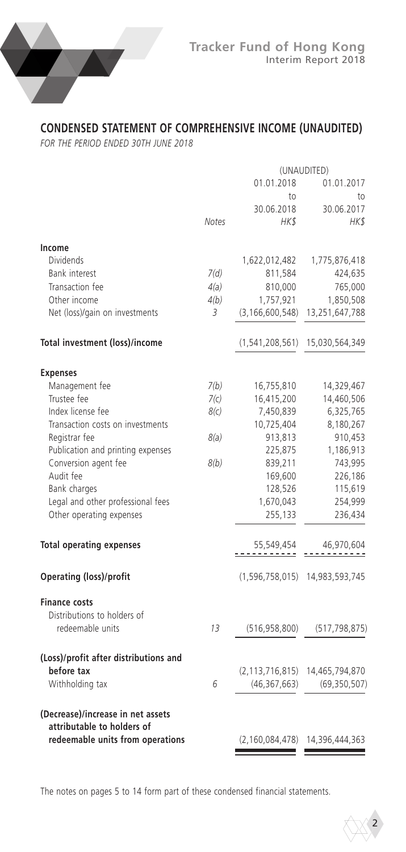

# **CONDENSED STATEMENT OF COMPREHENSIVE INCOME (UNAUDITED)**

*FOR THE PERIOD ENDED 30TH JUNE 2018*

|                                       | (UNAUDITED) |                 |                                        |
|---------------------------------------|-------------|-----------------|----------------------------------------|
|                                       |             | 01.01.2018      | 01.01.2017                             |
|                                       |             | to              | to                                     |
|                                       |             | 30.06.2018      | 30.06.2017                             |
|                                       | Notes       | HK\$            | HK\$                                   |
| Income                                |             |                 |                                        |
| Dividends                             |             | 1,622,012,482   | 1,775,876,418                          |
| Bank interest                         | 7(d)        | 811,584         | 424,635                                |
| Transaction fee                       | 4(a)        | 810,000         | 765,000                                |
| Other income                          | 4(b)        | 1,757,921       |                                        |
|                                       |             |                 | 1,850,508                              |
| Net (loss)/gain on investments        | 3           |                 | (3,166,600,548) 13,251,647,788         |
| Total investment (loss)/income        |             |                 | $(1, 541, 208, 561)$ 15,030,564,349    |
| <b>Expenses</b>                       |             |                 |                                        |
| Management fee                        | 7(b)        | 16,755,810      | 14,329,467                             |
| Trustee fee                           | 7(c)        | 16,415,200      | 14,460,506                             |
| Index license fee                     | 8(c)        | 7,450,839       | 6,325,765                              |
| Transaction costs on investments      |             | 10,725,404      | 8,180,267                              |
| Registrar fee                         | 8(a)        | 913,813         | 910,453                                |
| Publication and printing expenses     |             | 225,875         | 1,186,913                              |
| Conversion agent fee                  | 8(b)        | 839,211         | 743,995                                |
| Audit fee                             |             | 169,600         | 226,186                                |
| Bank charges                          |             | 128,526         | 115,619                                |
| Legal and other professional fees     |             | 1,670,043       | 254,999                                |
| Other operating expenses              |             | 255,133         | 236,434                                |
|                                       |             |                 |                                        |
| <b>Total operating expenses</b>       |             | 55,549,454<br>. | 46,970,604                             |
| Operating (loss)/profit               |             |                 | $(1,596,758,015)$ 14,983,593,745       |
| <b>Finance costs</b>                  |             |                 |                                        |
| Distributions to holders of           |             |                 |                                        |
| redeemable units                      | 13          | (516, 958, 800) | (517, 798, 875)                        |
| (Loss)/profit after distributions and |             |                 |                                        |
| before tax                            |             |                 | $(2, 113, 716, 815)$ 14,465,794,870    |
| Withholding tax                       | 6           | (46, 367, 663)  | (69, 350, 507)                         |
| (Decrease)/increase in net assets     |             |                 |                                        |
| attributable to holders of            |             |                 |                                        |
| redeemable units from operations      |             |                 | $(2, 160, 084, 478)$ 14, 396, 444, 363 |

The notes on pages 5 to 14 form part of these condensed financial statements.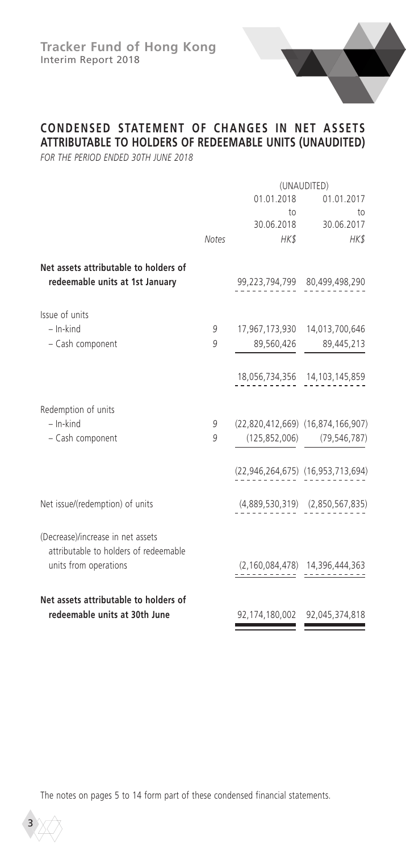

## **CONDENSED STATEMENT OF CHANGES IN NET ASSETS ATTRIBUTABLE TO HOLDERS OF REDEEMABLE UNITS (UNAUDITED)**

*FOR THE PERIOD ENDED 30TH JUNE 2018*

|                                                                            |              | (UNAUDITED)                       |                                                        |  |
|----------------------------------------------------------------------------|--------------|-----------------------------------|--------------------------------------------------------|--|
|                                                                            |              | 01.01.2018                        | 01.01.2017                                             |  |
|                                                                            |              | to<br>30.06.2018                  | to<br>30.06.2017                                       |  |
|                                                                            | <b>Notes</b> | HK\$                              | HK\$                                                   |  |
| Net assets attributable to holders of<br>redeemable units at 1st January   |              |                                   | 99,223,794,799 80,499,498,290                          |  |
| Issue of units                                                             |              |                                   |                                                        |  |
| $-$ In-kind                                                                | 9            |                                   | 17,967,173,930 14,013,700,646                          |  |
| - Cash component                                                           | 9            | 89,560,426                        | 89,445,213                                             |  |
|                                                                            |              |                                   | 18,056,734,356 14,103,145,859                          |  |
| Redemption of units                                                        |              |                                   |                                                        |  |
| $-$ In-kind                                                                | 9            | (22,820,412,669) (16,874,166,907) |                                                        |  |
| - Cash component                                                           | 9            |                                   | $(125, 852, 006)$ $(79, 546, 787)$                     |  |
|                                                                            |              |                                   | (22,946,264,675) (16,953,713,694)                      |  |
| Net issue/(redemption) of units                                            |              |                                   | $(4,889,530,319)$ $(2,850,567,835)$                    |  |
| (Decrease)/increase in net assets<br>attributable to holders of redeemable |              |                                   |                                                        |  |
| units from operations                                                      |              |                                   | $(2,160,084,478)$ $14,396,444,363$<br>$14,396,444,363$ |  |
| Net assets attributable to holders of                                      |              |                                   |                                                        |  |
| redeemable units at 30th June                                              |              |                                   | 92,174,180,002 92,045,374,818                          |  |
|                                                                            |              |                                   |                                                        |  |

The notes on pages 5 to 14 form part of these condensed financial statements.

3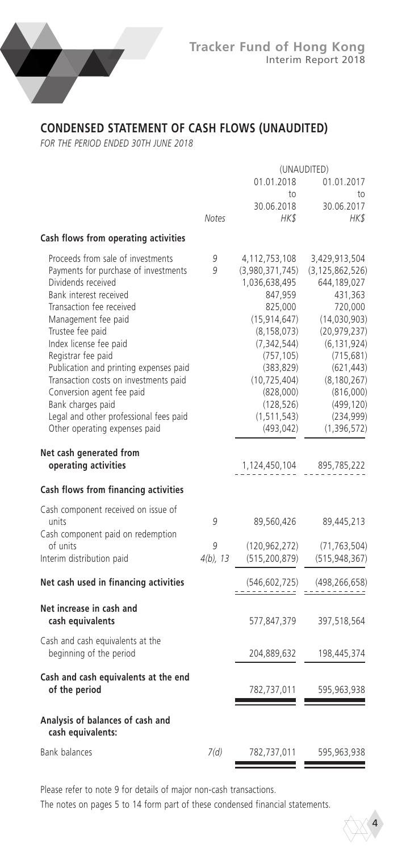

# **CONDENSED STATEMENT OF CASH FLOWS (UNAUDITED)**

*FOR THE PERIOD ENDED 30TH JUNE 2018*

|                                                                                                                                                                                                                                                                                                                                                                                                                                                                  | (UNAUDITED) |                                                                                                                                                                                                                                     |                                                                                                                                                                                                                                    |
|------------------------------------------------------------------------------------------------------------------------------------------------------------------------------------------------------------------------------------------------------------------------------------------------------------------------------------------------------------------------------------------------------------------------------------------------------------------|-------------|-------------------------------------------------------------------------------------------------------------------------------------------------------------------------------------------------------------------------------------|------------------------------------------------------------------------------------------------------------------------------------------------------------------------------------------------------------------------------------|
|                                                                                                                                                                                                                                                                                                                                                                                                                                                                  |             | 01.01.2018                                                                                                                                                                                                                          | 01.01.2017                                                                                                                                                                                                                         |
|                                                                                                                                                                                                                                                                                                                                                                                                                                                                  | Notes       | to<br>30.06.2018<br>HK\$                                                                                                                                                                                                            | to<br>30.06.2017<br>HK\$                                                                                                                                                                                                           |
| Cash flows from operating activities                                                                                                                                                                                                                                                                                                                                                                                                                             |             |                                                                                                                                                                                                                                     |                                                                                                                                                                                                                                    |
| Proceeds from sale of investments<br>Payments for purchase of investments<br>Dividends received<br>Bank interest received<br>Transaction fee received<br>Management fee paid<br>Trustee fee paid<br>Index license fee paid<br>Registrar fee paid<br>Publication and printing expenses paid<br>Transaction costs on investments paid<br>Conversion agent fee paid<br>Bank charges paid<br>Legal and other professional fees paid<br>Other operating expenses paid | 9<br>9      | 4,112,753,108<br>(3,980,371,745)<br>1,036,638,495<br>847,959<br>825,000<br>(15, 914, 647)<br>(8, 158, 073)<br>(7, 342, 544)<br>(757, 105)<br>(383, 829)<br>(10, 725, 404)<br>(828,000)<br>(128, 526)<br>(1, 511, 543)<br>(493, 042) | 3,429,913,504<br>(3, 125, 862, 526)<br>644,189,027<br>431,363<br>720,000<br>(14,030,903)<br>(20, 979, 237)<br>(6, 131, 924)<br>(715, 681)<br>(621, 443)<br>(8, 180, 267)<br>(816,000)<br>(499, 120)<br>(234, 999)<br>(1, 396, 572) |
| Net cash generated from<br>operating activities                                                                                                                                                                                                                                                                                                                                                                                                                  |             | 1,124,450,104                                                                                                                                                                                                                       | 895,785,222                                                                                                                                                                                                                        |
| Cash flows from financing activities                                                                                                                                                                                                                                                                                                                                                                                                                             |             |                                                                                                                                                                                                                                     |                                                                                                                                                                                                                                    |
| Cash component received on issue of<br>units<br>Cash component paid on redemption<br>of units                                                                                                                                                                                                                                                                                                                                                                    | 9<br>9      | 89,560,426<br>(120, 962, 272)                                                                                                                                                                                                       | 89,445,213<br>(71, 763, 504)                                                                                                                                                                                                       |
| Interim distribution paid                                                                                                                                                                                                                                                                                                                                                                                                                                        | $4(b)$ , 13 | (515, 200, 879)                                                                                                                                                                                                                     | (515, 948, 367)                                                                                                                                                                                                                    |
| Net cash used in financing activities                                                                                                                                                                                                                                                                                                                                                                                                                            |             | (546, 602, 725)                                                                                                                                                                                                                     | (498, 266, 658)                                                                                                                                                                                                                    |
| Net increase in cash and<br>cash equivalents                                                                                                                                                                                                                                                                                                                                                                                                                     |             | 577,847,379                                                                                                                                                                                                                         | 397,518,564                                                                                                                                                                                                                        |
| Cash and cash equivalents at the<br>beginning of the period                                                                                                                                                                                                                                                                                                                                                                                                      |             | 204,889,632                                                                                                                                                                                                                         | 198,445,374                                                                                                                                                                                                                        |
| Cash and cash equivalents at the end<br>of the period                                                                                                                                                                                                                                                                                                                                                                                                            |             | 782,737,011                                                                                                                                                                                                                         | 595,963,938                                                                                                                                                                                                                        |
| Analysis of balances of cash and<br>cash equivalents:                                                                                                                                                                                                                                                                                                                                                                                                            |             |                                                                                                                                                                                                                                     |                                                                                                                                                                                                                                    |
| <b>Bank balances</b>                                                                                                                                                                                                                                                                                                                                                                                                                                             | 7(d)        | 782,737,011                                                                                                                                                                                                                         | 595,963,938                                                                                                                                                                                                                        |

Please refer to note 9 for details of major non-cash transactions.

The notes on pages 5 to 14 form part of these condensed financial statements.

4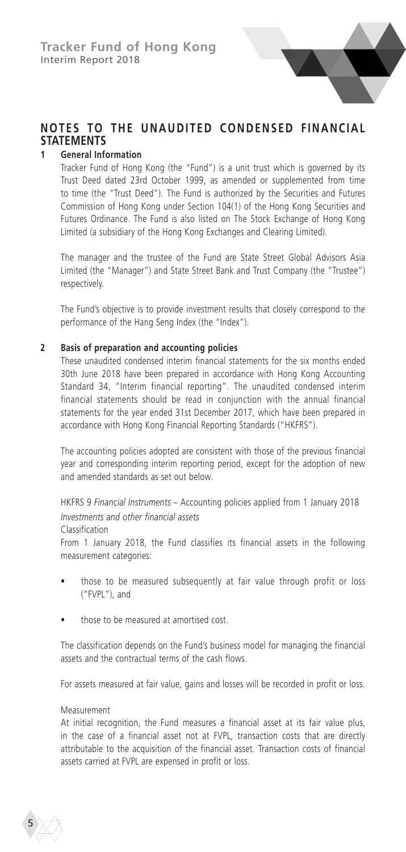# **NOTES TO THE UNAUDITED CONDENSED FINANCIAL STATEMENTS**

### **1 General Information**

Tracker Fund of Hong Kong (the "Fund") is a unit trust which is governed by its Trust Deed dated 23rd October 1999, as amended or supplemented from time to time (the "Trust Deed"). The Fund is authorized by the Securities and Futures Commission of Hong Kong under Section 104(1) of the Hong Kong Securities and Futures Ordinance. The Fund is also listed on The Stock Exchange of Hong Kong Limited (a subsidiary of the Hong Kong Exchanges and Clearing Limited).

The manager and the trustee of the Fund are State Street Global Advisors Asia Limited (the "Manager") and State Street Bank and Trust Company (the "Trustee") respectively.

The Fund's objective is to provide investment results that closely correspond to the performance of the Hang Seng Index (the "Index").

### **2 Basis of preparation and accounting policies**

These unaudited condensed interim financial statements for the six months ended 30th June 2018 have been prepared in accordance with Hong Kong Accounting Standard 34, "Interim financial reporting". The unaudited condensed interim financial statements should be read in conjunction with the annual financial statements for the year ended 31st December 2017, which have been prepared in accordance with Hong Kong Financial Reporting Standards ("HKFRS").

The accounting policies adopted are consistent with those of the previous financial year and corresponding interim reporting period, except for the adoption of new and amended standards as set out below.

HKFRS 9 *Financial Instruments* – Accounting policies applied from 1 January 2018 *Investments and other financial assets*

#### Classification

From 1 January 2018, the Fund classifies its financial assets in the following measurement categories:

- those to be measured subsequently at fair value through profit or loss ("FVPL"), and
- those to be measured at amortised cost.

The classification depends on the Fund's business model for managing the financial assets and the contractual terms of the cash flows.

For assets measured at fair value, gains and losses will be recorded in profit or loss.

#### Measurement

At initial recognition, the Fund measures a financial asset at its fair value plus, in the case of a financial asset not at FVPL, transaction costs that are directly attributable to the acquisition of the financial asset. Transaction costs of financial assets carried at FVPL are expensed in profit or loss.

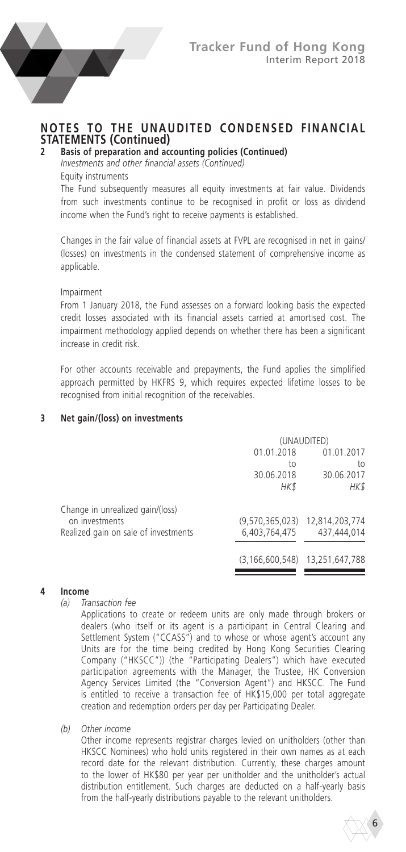

# **NOTES TO THE UNAUDITED CONDENSED FINANCIAL STATEMENTS (Continued)**<br>2 **Basis of preparation and acc**

### **2 Basis of preparation and accounting policies (Continued)**

*Investments and other financial assets (Continued)*

#### Equity instruments

The Fund subsequently measures all equity investments at fair value. Dividends from such investments continue to be recognised in profit or loss as dividend income when the Fund's right to receive payments is established.

Changes in the fair value of financial assets at FVPL are recognised in net in gains/ (losses) on investments in the condensed statement of comprehensive income as applicable.

Impairment

From 1 January 2018, the Fund assesses on a forward looking basis the expected credit losses associated with its financial assets carried at amortised cost. The impairment methodology applied depends on whether there has been a significant increase in credit risk.

For other accounts receivable and prepayments, the Fund applies the simplified approach permitted by HKFRS 9, which requires expected lifetime losses to be recognised from initial recognition of the receivables.

#### **3 Net gain/(loss) on investments**

|                                      |                    | (UNAUDITED)                    |
|--------------------------------------|--------------------|--------------------------------|
|                                      | 01.01.2018         | 01.01.2017                     |
|                                      | to                 | to                             |
|                                      | 30.06.2018         | 30.06.2017                     |
|                                      | HK\$               | HK\$                           |
| Change in unrealized gain/(loss)     |                    |                                |
| on investments                       |                    | (9,570,365,023) 12,814,203,774 |
| Realized gain on sale of investments | 6,403,764,475      | 437,444,014                    |
|                                      | (3, 166, 600, 548) | 13,251,647,788                 |
|                                      |                    |                                |

# **4 Income**

*(a) Transaction fee*

Applications to create or redeem units are only made through brokers or dealers (who itself or its agent is a participant in Central Clearing and Settlement System ("CCASS") and to whose or whose agent's account any Units are for the time being credited by Hong Kong Securities Clearing Company ("HKSCC")) (the "Participating Dealers") which have executed participation agreements with the Manager, the Trustee, HK Conversion Agency Services Limited (the "Conversion Agent") and HKSCC. The Fund is entitled to receive a transaction fee of HK\$15,000 per total aggregate creation and redemption orders per day per Participating Dealer.

*(b) Other income*

Other income represents registrar charges levied on unitholders (other than HKSCC Nominees) who hold units registered in their own names as at each record date for the relevant distribution. Currently, these charges amount to the lower of HK\$80 per year per unitholder and the unitholder's actual distribution entitlement. Such charges are deducted on a half-yearly basis from the half-yearly distributions payable to the relevant unitholders.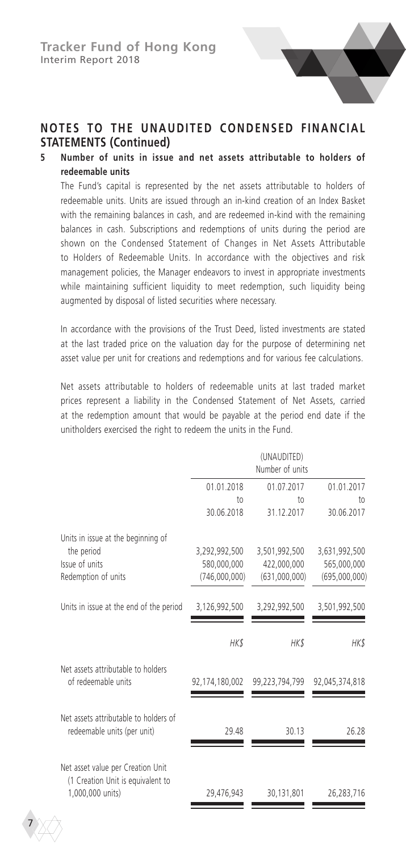

### **5 Number of units in issue and net assets attributable to holders of redeemable units**

The Fund's capital is represented by the net assets attributable to holders of redeemable units. Units are issued through an in-kind creation of an Index Basket with the remaining balances in cash, and are redeemed in-kind with the remaining balances in cash. Subscriptions and redemptions of units during the period are shown on the Condensed Statement of Changes in Net Assets Attributable to Holders of Redeemable Units. In accordance with the objectives and risk management policies, the Manager endeavors to invest in appropriate investments while maintaining sufficient liquidity to meet redemption, such liquidity being augmented by disposal of listed securities where necessary.

In accordance with the provisions of the Trust Deed, listed investments are stated at the last traded price on the valuation day for the purpose of determining net asset value per unit for creations and redemptions and for various fee calculations.

Net assets attributable to holders of redeemable units at last traded market prices represent a liability in the Condensed Statement of Net Assets, carried at the redemption amount that would be payable at the period end date if the unitholders exercised the right to redeem the units in the Fund.

|                                                                                            |                  | (UNAUDITED)<br>Number of units |                               |
|--------------------------------------------------------------------------------------------|------------------|--------------------------------|-------------------------------|
|                                                                                            | 01.01.2018<br>to | 01.07.2017<br>10 <sub>o</sub>  | 01.01.2017<br>10 <sub>0</sub> |
|                                                                                            | 30.06.2018       | 31.12.2017                     | 30.06.2017                    |
| Units in issue at the beginning of<br>the period                                           | 3,292,992,500    | 3,501,992,500                  | 3,631,992,500                 |
| Issue of units                                                                             | 580,000,000      | 422,000,000                    | 565,000,000                   |
| Redemption of units                                                                        | (746,000,000)    | (631,000,000)                  | (695,000,000)                 |
| Units in issue at the end of the period                                                    | 3,126,992,500    | 3,292,992,500                  | 3,501,992,500                 |
|                                                                                            | HK\$             | HK\$                           | HK\$                          |
| Net assets attributable to holders<br>of redeemable units                                  | 92,174,180,002   | 99,223,794,799                 | 92,045,374,818                |
| Net assets attributable to holders of<br>redeemable units (per unit)                       | 29.48            | 30.13                          | 26.28                         |
| Net asset value per Creation Unit<br>(1 Creation Unit is equivalent to<br>1,000,000 units) | 29,476,943       | 30,131,801                     | 26,283,716                    |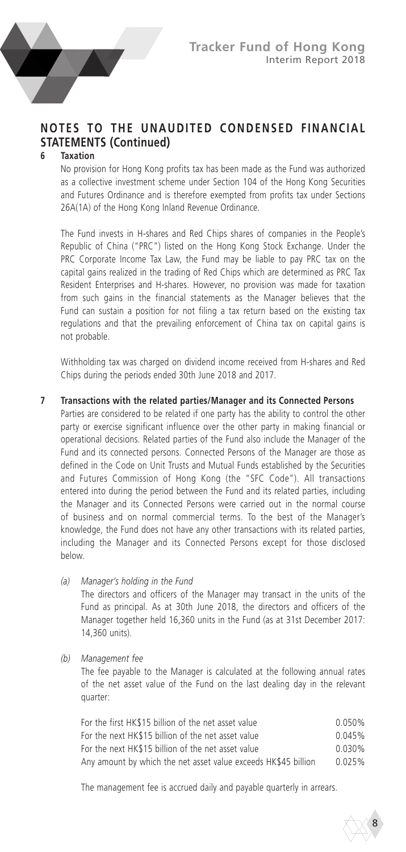

#### **6 Taxation**

No provision for Hong Kong profits tax has been made as the Fund was authorized as a collective investment scheme under Section 104 of the Hong Kong Securities and Futures Ordinance and is therefore exempted from profits tax under Sections 26A(1A) of the Hong Kong Inland Revenue Ordinance.

The Fund invests in H-shares and Red Chips shares of companies in the People's Republic of China ("PRC") listed on the Hong Kong Stock Exchange. Under the PRC Corporate Income Tax Law, the Fund may be liable to pay PRC tax on the capital gains realized in the trading of Red Chips which are determined as PRC Tax Resident Enterprises and H-shares. However, no provision was made for taxation from such gains in the financial statements as the Manager believes that the Fund can sustain a position for not filing a tax return based on the existing tax regulations and that the prevailing enforcement of China tax on capital gains is not probable.

Withholding tax was charged on dividend income received from H-shares and Red Chips during the periods ended 30th June 2018 and 2017.

#### **7 Transactions with the related parties/Manager and its Connected Persons**

Parties are considered to be related if one party has the ability to control the other party or exercise significant influence over the other party in making financial or operational decisions. Related parties of the Fund also include the Manager of the Fund and its connected persons. Connected Persons of the Manager are those as defined in the Code on Unit Trusts and Mutual Funds established by the Securities and Futures Commission of Hong Kong (the "SFC Code"). All transactions entered into during the period between the Fund and its related parties, including the Manager and its Connected Persons were carried out in the normal course of business and on normal commercial terms. To the best of the Manager's knowledge, the Fund does not have any other transactions with its related parties, including the Manager and its Connected Persons except for those disclosed below.

*(a) Manager's holding in the Fund*

The directors and officers of the Manager may transact in the units of the Fund as principal. As at 30th June 2018, the directors and officers of the Manager together held 16,360 units in the Fund (as at 31st December 2017: 14,360 units).

*(b) Management fee*

The fee payable to the Manager is calculated at the following annual rates of the net asset value of the Fund on the last dealing day in the relevant quarter:

| For the first HK\$15 billion of the net asset value            | 0.050% |
|----------------------------------------------------------------|--------|
| For the next HK\$15 billion of the net asset value             | 0.045% |
| For the next HK\$15 billion of the net asset value             | 0.030% |
| Any amount by which the net asset value exceeds HK\$45 billion | 0.025% |

The management fee is accrued daily and payable quarterly in arrears.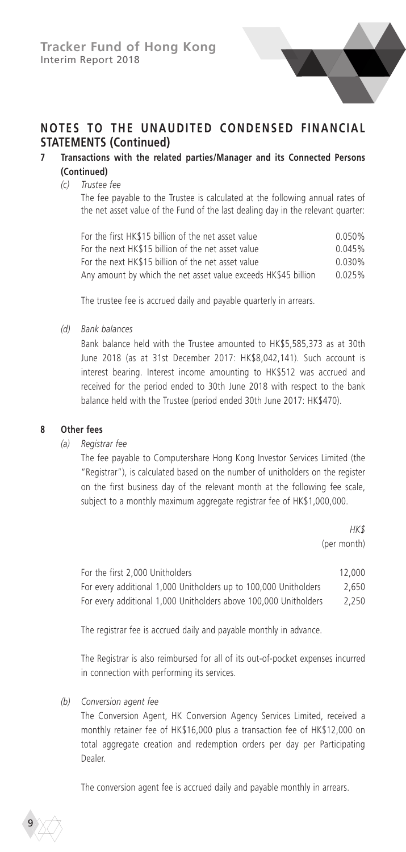

### **7 Transactions with the related parties/Manager and its Connected Persons (Continued)**

#### *(c) Trustee fee*

The fee payable to the Trustee is calculated at the following annual rates of the net asset value of the Fund of the last dealing day in the relevant quarter:

| For the first HK\$15 billion of the net asset value            | 0.050% |
|----------------------------------------------------------------|--------|
| For the next HK\$15 billion of the net asset value             | 0.045% |
| For the next HK\$15 billion of the net asset value             | 0.030% |
| Any amount by which the net asset value exceeds HK\$45 billion | 0.025% |

The trustee fee is accrued daily and payable quarterly in arrears.

*(d) Bank balances*

Bank balance held with the Trustee amounted to HK\$5,585,373 as at 30th June 2018 (as at 31st December 2017: HK\$8,042,141). Such account is interest bearing. Interest income amounting to HK\$512 was accrued and received for the period ended to 30th June 2018 with respect to the bank balance held with the Trustee (period ended 30th June 2017: HK\$470).

#### **8 Other fees**

*(a) Registrar fee*

The fee payable to Computershare Hong Kong Investor Services Limited (the "Registrar"), is calculated based on the number of unitholders on the register on the first business day of the relevant month at the following fee scale, subject to a monthly maximum aggregate registrar fee of HK\$1,000,000.

> *HK\$*  (per month)

| For the first 2,000 Unitholders                                  | 12,000 |
|------------------------------------------------------------------|--------|
| For every additional 1,000 Unitholders up to 100,000 Unitholders | 2.650  |
| For every additional 1,000 Unitholders above 100,000 Unitholders | 2.250  |

The registrar fee is accrued daily and payable monthly in advance.

The Registrar is also reimbursed for all of its out-of-pocket expenses incurred in connection with performing its services.

*(b) Conversion agent fee*

9

The Conversion Agent, HK Conversion Agency Services Limited, received a monthly retainer fee of HK\$16,000 plus a transaction fee of HK\$12,000 on total aggregate creation and redemption orders per day per Participating Dealer.

The conversion agent fee is accrued daily and payable monthly in arrears.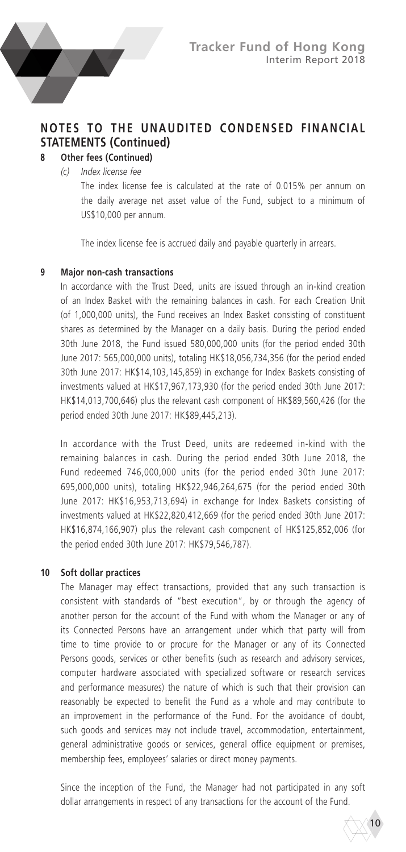

# **8 Other fees (Continued)**

*(c) Index license fee*

The index license fee is calculated at the rate of 0.015% per annum on the daily average net asset value of the Fund, subject to a minimum of US\$10,000 per annum.

The index license fee is accrued daily and payable quarterly in arrears.

#### **9 Major non-cash transactions**

In accordance with the Trust Deed, units are issued through an in-kind creation of an Index Basket with the remaining balances in cash. For each Creation Unit (of 1,000,000 units), the Fund receives an Index Basket consisting of constituent shares as determined by the Manager on a daily basis. During the period ended 30th June 2018, the Fund issued 580,000,000 units (for the period ended 30th June 2017: 565,000,000 units), totaling HK\$18,056,734,356 (for the period ended 30th June 2017: HK\$14,103,145,859) in exchange for Index Baskets consisting of investments valued at HK\$17,967,173,930 (for the period ended 30th June 2017: HK\$14,013,700,646) plus the relevant cash component of HK\$89,560,426 (for the period ended 30th June 2017: HK\$89,445,213).

In accordance with the Trust Deed, units are redeemed in-kind with the remaining balances in cash. During the period ended 30th June 2018, the Fund redeemed 746,000,000 units (for the period ended 30th June 2017: 695,000,000 units), totaling HK\$22,946,264,675 (for the period ended 30th June 2017: HK\$16,953,713,694) in exchange for Index Baskets consisting of investments valued at HK\$22,820,412,669 (for the period ended 30th June 2017: HK\$16,874,166,907) plus the relevant cash component of HK\$125,852,006 (for the period ended 30th June 2017: HK\$79,546,787).

#### **10 Soft dollar practices**

The Manager may effect transactions, provided that any such transaction is consistent with standards of "best execution", by or through the agency of another person for the account of the Fund with whom the Manager or any of its Connected Persons have an arrangement under which that party will from time to time provide to or procure for the Manager or any of its Connected Persons goods, services or other benefits (such as research and advisory services, computer hardware associated with specialized software or research services and performance measures) the nature of which is such that their provision can reasonably be expected to benefit the Fund as a whole and may contribute to an improvement in the performance of the Fund. For the avoidance of doubt, such goods and services may not include travel, accommodation, entertainment, general administrative goods or services, general office equipment or premises, membership fees, employees' salaries or direct money payments.

Since the inception of the Fund, the Manager had not participated in any soft dollar arrangements in respect of any transactions for the account of the Fund.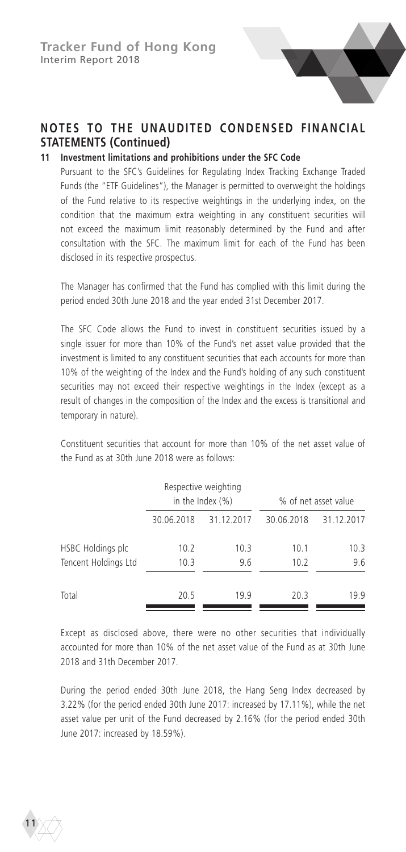

### **11 Investment limitations and prohibitions under the SFC Code**

Pursuant to the SFC's Guidelines for Regulating Index Tracking Exchange Traded Funds (the "ETF Guidelines"), the Manager is permitted to overweight the holdings of the Fund relative to its respective weightings in the underlying index, on the condition that the maximum extra weighting in any constituent securities will not exceed the maximum limit reasonably determined by the Fund and after consultation with the SFC. The maximum limit for each of the Fund has been disclosed in its respective prospectus.

The Manager has confirmed that the Fund has complied with this limit during the period ended 30th June 2018 and the year ended 31st December 2017.

The SFC Code allows the Fund to invest in constituent securities issued by a single issuer for more than 10% of the Fund's net asset value provided that the investment is limited to any constituent securities that each accounts for more than 10% of the weighting of the Index and the Fund's holding of any such constituent securities may not exceed their respective weightings in the Index (except as a result of changes in the composition of the Index and the excess is transitional and temporary in nature).

Constituent securities that account for more than 10% of the net asset value of the Fund as at 30th June 2018 were as follows:

|                                           |              | Respective weighting<br>in the Index $(\% )$ |              | % of net asset value |
|-------------------------------------------|--------------|----------------------------------------------|--------------|----------------------|
|                                           | 30.06.2018   | 31.12.2017                                   | 30.06.2018   | 31.12.2017           |
| HSBC Holdings plc<br>Tencent Holdings Ltd | 10.2<br>10.3 | 10.3<br>9.6                                  | 10.1<br>10.2 | 10.3<br>9.6          |
|                                           |              |                                              |              |                      |
| Total                                     | 20.5         | 19.9                                         | 20.3         | 19.9                 |

Except as disclosed above, there were no other securities that individually accounted for more than 10% of the net asset value of the Fund as at 30th June 2018 and 31th December 2017

During the period ended 30th June 2018, the Hang Seng Index decreased by 3.22% (for the period ended 30th June 2017: increased by 17.11%), while the net asset value per unit of the Fund decreased by 2.16% (for the period ended 30th June 2017: increased by 18.59%).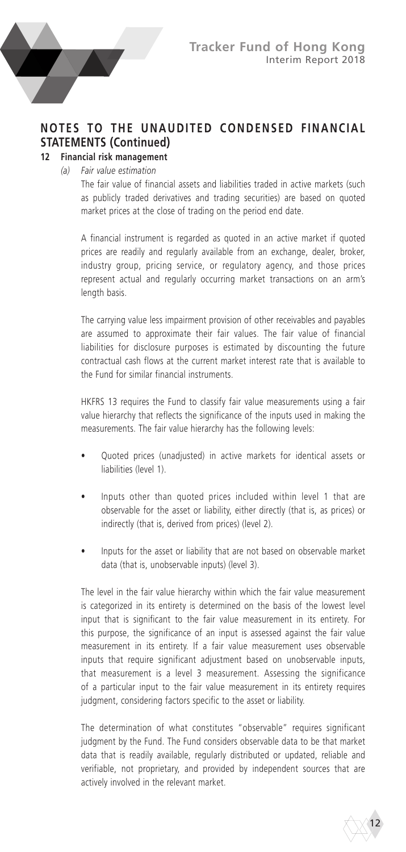

### **NOTES TO THE UNAUDITED CONDENSED FINANCIAL STATEMENTS (Continued) 12 Financial risk management**

### *(a) Fair value estimation*

The fair value of financial assets and liabilities traded in active markets (such as publicly traded derivatives and trading securities) are based on quoted market prices at the close of trading on the period end date.

A financial instrument is regarded as quoted in an active market if quoted prices are readily and regularly available from an exchange, dealer, broker, industry group, pricing service, or regulatory agency, and those prices represent actual and regularly occurring market transactions on an arm's length basis.

The carrying value less impairment provision of other receivables and payables are assumed to approximate their fair values. The fair value of financial liabilities for disclosure purposes is estimated by discounting the future contractual cash flows at the current market interest rate that is available to the Fund for similar financial instruments.

HKFRS 13 requires the Fund to classify fair value measurements using a fair value hierarchy that reflects the significance of the inputs used in making the measurements. The fair value hierarchy has the following levels:

- Quoted prices (unadjusted) in active markets for identical assets or liabilities (level 1).
- Inputs other than quoted prices included within level 1 that are observable for the asset or liability, either directly (that is, as prices) or indirectly (that is, derived from prices) (level 2).
- Inputs for the asset or liability that are not based on observable market data (that is, unobservable inputs) (level 3).

The level in the fair value hierarchy within which the fair value measurement is categorized in its entirety is determined on the basis of the lowest level input that is significant to the fair value measurement in its entirety. For this purpose, the significance of an input is assessed against the fair value measurement in its entirety. If a fair value measurement uses observable inputs that require significant adjustment based on unobservable inputs, that measurement is a level 3 measurement. Assessing the significance of a particular input to the fair value measurement in its entirety requires judgment, considering factors specific to the asset or liability.

The determination of what constitutes "observable" requires significant judgment by the Fund. The Fund considers observable data to be that market data that is readily available, regularly distributed or updated, reliable and verifiable, not proprietary, and provided by independent sources that are actively involved in the relevant market.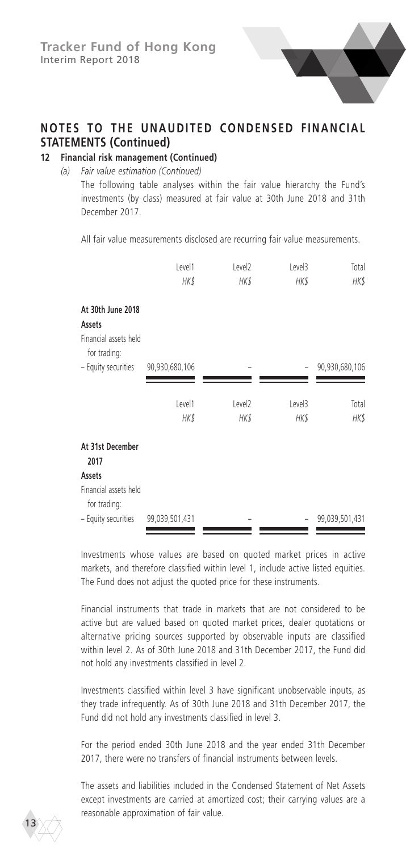

# **12 Financial risk management (Continued)**

*(a) Fair value estimation (Continued)*

The following table analyses within the fair value hierarchy the Fund's investments (by class) measured at fair value at 30th June 2018 and 31th December 2017.

All fair value measurements disclosed are recurring fair value measurements.

|                                                                      | Level1<br>HK\$ | Level <sub>2</sub><br>HK\$ | Level3<br>HK\$ | Total<br>HK\$  |
|----------------------------------------------------------------------|----------------|----------------------------|----------------|----------------|
| At 30th June 2018<br>Assets<br>Financial assets held<br>for trading: |                |                            |                |                |
| - Equity securities                                                  | 90,930,680,106 |                            |                | 90,930,680,106 |
|                                                                      |                |                            |                |                |
|                                                                      | Level1         | Level <sub>2</sub>         | Level3         | Total          |
|                                                                      | HK\$           | HK\$                       | HK\$           | <b>HK\$</b>    |
| At 31st December<br>2017                                             |                |                            |                |                |
| Assets                                                               |                |                            |                |                |
| Financial assets held<br>for trading:                                |                |                            |                |                |
| - Equity securities                                                  | 99,039,501,431 |                            |                | 99,039,501,431 |

Investments whose values are based on quoted market prices in active markets, and therefore classified within level 1, include active listed equities. The Fund does not adjust the quoted price for these instruments.

Financial instruments that trade in markets that are not considered to be active but are valued based on quoted market prices, dealer quotations or alternative pricing sources supported by observable inputs are classified within level 2. As of 30th June 2018 and 31th December 2017, the Fund did not hold any investments classified in level 2.

Investments classified within level 3 have significant unobservable inputs, as they trade infrequently. As of 30th June 2018 and 31th December 2017, the Fund did not hold any investments classified in level 3.

For the period ended 30th June 2018 and the year ended 31th December 2017, there were no transfers of financial instruments between levels.

The assets and liabilities included in the Condensed Statement of Net Assets except investments are carried at amortized cost; their carrying values are a reasonable approximation of fair value.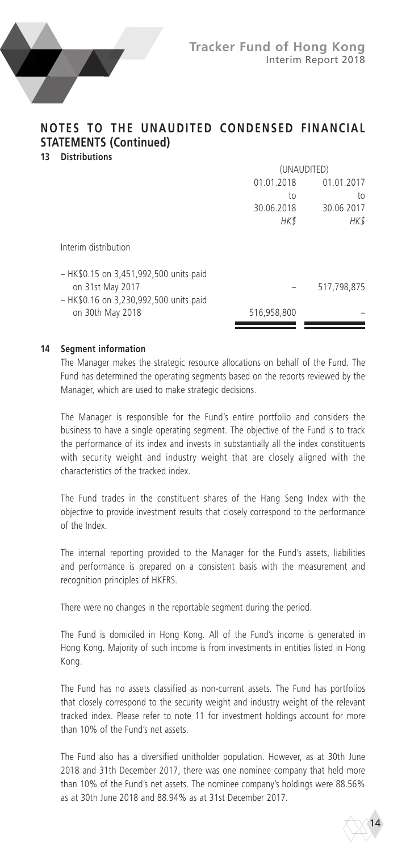

### **NOTES TO THE UNAUDITED CONDENSED FINANCIAL STATEMENTS (Continued) 13 Distributions**

|                                                            | (UNAUDITED) |             |  |
|------------------------------------------------------------|-------------|-------------|--|
|                                                            | 01.01.2018  | 01.01.2017  |  |
|                                                            | to          | to          |  |
|                                                            | 30.06.2018  | 30.06.2017  |  |
|                                                            | <b>HK\$</b> | HK\$        |  |
| Interim distribution                                       |             |             |  |
| - HK\$0.15 on 3,451,992,500 units paid<br>on 31st May 2017 |             | 517,798,875 |  |
| - HK\$0.16 on 3,230,992,500 units paid                     |             |             |  |
| on 30th May 2018                                           | 516,958,800 |             |  |
|                                                            |             |             |  |

#### **14 Segment information**

The Manager makes the strategic resource allocations on behalf of the Fund. The Fund has determined the operating segments based on the reports reviewed by the Manager, which are used to make strategic decisions.

The Manager is responsible for the Fund's entire portfolio and considers the business to have a single operating segment. The objective of the Fund is to track the performance of its index and invests in substantially all the index constituents with security weight and industry weight that are closely aligned with the characteristics of the tracked index.

The Fund trades in the constituent shares of the Hang Seng Index with the objective to provide investment results that closely correspond to the performance of the Index.

The internal reporting provided to the Manager for the Fund's assets, liabilities and performance is prepared on a consistent basis with the measurement and recognition principles of HKFRS.

There were no changes in the reportable segment during the period.

The Fund is domiciled in Hong Kong. All of the Fund's income is generated in Hong Kong. Majority of such income is from investments in entities listed in Hong Kong.

The Fund has no assets classified as non-current assets. The Fund has portfolios that closely correspond to the security weight and industry weight of the relevant tracked index. Please refer to note 11 for investment holdings account for more than 10% of the Fund's net assets.

The Fund also has a diversified unitholder population. However, as at 30th June 2018 and 31th December 2017, there was one nominee company that held more than 10% of the Fund's net assets. The nominee company's holdings were 88.56% as at 30th June 2018 and 88.94% as at 31st December 2017.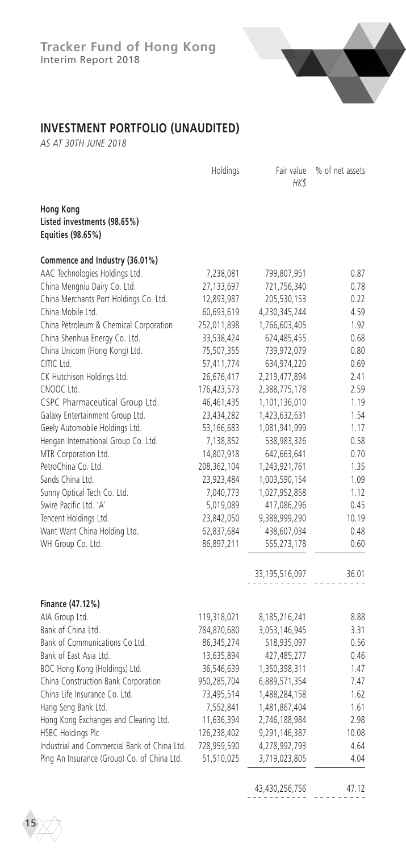

# **INVESTMENT PORTFOLIO (UNAUDITED)**

*AS AT 30TH JUNE 2018*

|                                                                      | Holdings    | Fair value<br>HK\$             | % of net assets |
|----------------------------------------------------------------------|-------------|--------------------------------|-----------------|
| <b>Hong Kong</b><br>Listed investments (98.65%)<br>Equities (98.65%) |             |                                |                 |
| Commence and Industry (36.01%)                                       |             |                                |                 |
| AAC Technologies Holdings Ltd.                                       | 7,238,081   | 799,807,951                    | 0.87            |
| China Mengniu Dairy Co. Ltd.                                         | 27,133,697  | 721,756,340                    | 0.78            |
| China Merchants Port Holdings Co. Ltd.                               | 12,893,987  | 205,530,153                    | 0.22            |
| China Mobile Ltd.                                                    | 60,693,619  | 4,230,345,244                  | 4.59            |
| China Petroleum & Chemical Corporation                               | 252,011,898 | 1,766,603,405                  | 1.92            |
| China Shenhua Energy Co. Ltd.                                        | 33,538,424  | 624,485,455                    | 0.68            |
| China Unicom (Hong Kong) Ltd.                                        | 75,507,355  | 739,972,079                    | 0.80            |
| CITIC Ltd.                                                           | 57,411,774  | 634,974,220                    | 0.69            |
| CK Hutchison Holdings Ltd.                                           | 26,676,417  | 2,219,477,894                  | 2.41            |
| CNOOC Ltd.                                                           | 176,423,573 | 2,388,775,178                  | 2.59            |
| CSPC Pharmaceutical Group Ltd.                                       | 46,461,435  | 1,101,136,010                  | 1.19            |
| Galaxy Entertainment Group Ltd.                                      | 23,434,282  | 1,423,632,631                  | 1.54            |
| Geely Automobile Holdings Ltd.                                       | 53,166,683  | 1,081,941,999                  | 1.17            |
| Hengan International Group Co. Ltd.                                  | 7,138,852   | 538,983,326                    | 0.58            |
| MTR Corporation Ltd.                                                 | 14,807,918  | 642,663,641                    | 0.70            |
| PetroChina Co. Ltd.                                                  | 208,362,104 | 1,243,921,761                  | 1.35            |
| Sands China Ltd.                                                     | 23,923,484  | 1,003,590,154                  | 1.09            |
| Sunny Optical Tech Co. Ltd.                                          | 7,040,773   | 1,027,952,858                  | 1.12            |
| Swire Pacific Ltd. 'A'                                               | 5,019,089   | 417,086,296                    | 0.45            |
| Tencent Holdings Ltd.                                                | 23,842,050  | 9,388,999,290                  | 10.19           |
| Want Want China Holding Ltd.                                         |             |                                | 0.48            |
|                                                                      | 62,837,684  | 438,607,034                    | 0.60            |
| WH Group Co. Ltd.                                                    | 86,897,211  | 555,273,178                    |                 |
|                                                                      |             | 33, 195, 516, 097              | 36.01           |
|                                                                      |             |                                |                 |
| Finance (47.12%)                                                     |             |                                |                 |
| AIA Group Ltd.                                                       | 119,318,021 | 8,185,216,241                  | 8.88            |
| Bank of China Ltd.                                                   | 784,870,680 | 3,053,146,945                  | 3.31            |
| Bank of Communications Co Ltd.                                       | 86,345,274  | 518,935,097                    | 0.56            |
| Bank of East Asia Ltd.                                               | 13,635,894  | 427,485,277                    | 0.46            |
| BOC Hong Kong (Holdings) Ltd.                                        | 36,546,639  | 1,350,398,311                  | 1.47            |
| China Construction Bank Corporation                                  | 950,285,704 | 6,889,571,354                  | 7.47            |
| China Life Insurance Co. Ltd.                                        | 73,495,514  | 1,488,284,158                  | 1.62            |
| Hang Seng Bank Ltd.                                                  | 7,552,841   | 1,481,867,404                  | 1.61            |
| Hong Kong Exchanges and Clearing Ltd.                                | 11,636,394  | 2,746,188,984                  | 2.98            |
| HSBC Holdings Plc                                                    | 126,238,402 | 9,291,146,387                  | 10.08           |
| Industrial and Commercial Bank of China Ltd.                         | 728,959,590 | 4,278,992,793                  | 4.64            |
| Ping An Insurance (Group) Co. of China Ltd.                          | 51,510,025  | 3,719,023,805                  | 4.04            |
|                                                                      |             | 12 120 25 <i>C</i> 75 <i>C</i> | 17.12           |

43,430,256,756 47.12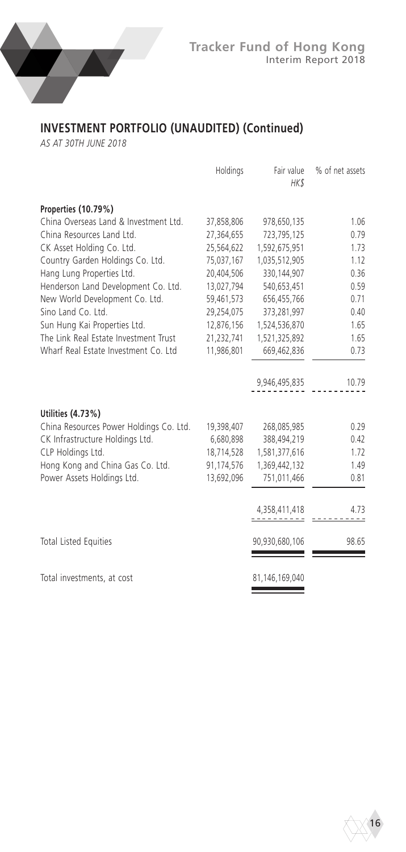

# **INVESTMENT PORTFOLIO (UNAUDITED) (Continued)**

*AS AT 30TH JUNE 2018*

|                                         | Holdings   | Fair value<br>HK\$ | % of net assets |
|-----------------------------------------|------------|--------------------|-----------------|
| Properties (10.79%)                     |            |                    |                 |
| China Overseas Land & Investment Ltd.   | 37,858,806 | 978,650,135        | 1.06            |
| China Resources Land Ltd.               | 27,364,655 | 723,795,125        | 0.79            |
| CK Asset Holding Co. Ltd.               | 25,564,622 | 1,592,675,951      | 1.73            |
| Country Garden Holdings Co. Ltd.        | 75,037,167 | 1,035,512,905      | 1.12            |
| Hang Lung Properties Ltd.               | 20,404,506 | 330,144,907        | 0.36            |
| Henderson Land Development Co. Ltd.     | 13,027,794 | 540,653,451        | 0.59            |
| New World Development Co. Ltd.          | 59,461,573 | 656,455,766        | 0.71            |
| Sino Land Co. Ltd.                      | 29,254,075 | 373,281,997        | 0.40            |
| Sun Hung Kai Properties Ltd.            | 12,876,156 | 1,524,536,870      | 1.65            |
| The Link Real Estate Investment Trust   | 21,232,741 | 1,521,325,892      | 1.65            |
| Wharf Real Estate Investment Co. Ltd    | 11,986,801 | 669,462,836        | 0.73            |
|                                         |            | 9,946,495,835      | 10.79           |
| Utilities (4.73%)                       |            |                    |                 |
| China Resources Power Holdings Co. Ltd. | 19,398,407 | 268,085,985        | 0.29            |
| CK Infrastructure Holdings Ltd.         | 6,680,898  | 388,494,219        | 0.42            |
| CLP Holdings Ltd.                       | 18,714,528 | 1,581,377,616      | 1.72            |
| Hong Kong and China Gas Co. Ltd.        | 91,174,576 | 1,369,442,132      | 1.49            |
| Power Assets Holdings Ltd.              | 13,692,096 | 751,011,466        | 0.81            |
|                                         |            | 4,358,411,418      | 4.73            |
| <b>Total Listed Equities</b>            |            | 90,930,680,106     | 98.65           |
|                                         |            |                    |                 |
| Total investments, at cost              |            | 81,146,169,040     |                 |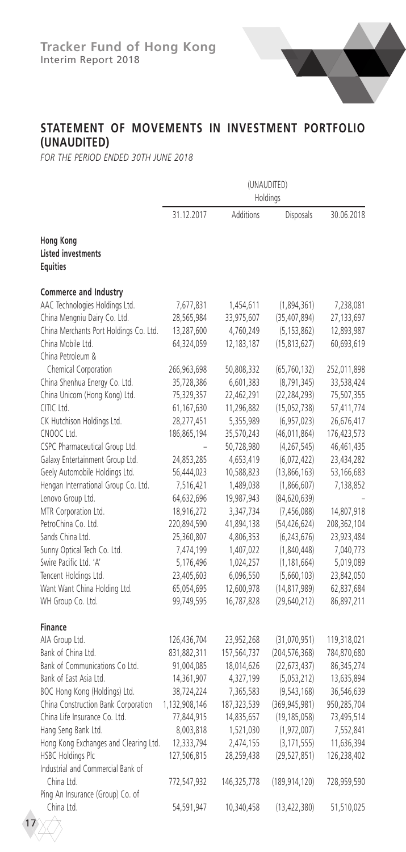

### **STATEMENT OF MOVEMENTS IN INVESTMENT PORTFOLIO (UNAUDITED)**

*FOR THE PERIOD ENDED 30TH JUNE 2018*

|                                                                  | (UNAUDITED)<br>Holdings |             |                 |             |
|------------------------------------------------------------------|-------------------------|-------------|-----------------|-------------|
|                                                                  | 31.12.2017              | Additions   | Disposals       | 30.06.2018  |
| <b>Hong Kong</b><br><b>Listed investments</b><br><b>Equities</b> |                         |             |                 |             |
| Commerce and Industry                                            |                         |             |                 |             |
| AAC Technologies Holdings Ltd.                                   | 7,677,831               | 1,454,611   | (1,894,361)     | 7,238,081   |
| China Mengniu Dairy Co. Ltd.                                     | 28,565,984              | 33,975,607  | (35, 407, 894)  | 27,133,697  |
| China Merchants Port Holdings Co. Ltd.                           | 13,287,600              | 4,760,249   | (5, 153, 862)   | 12,893,987  |
| China Mobile Ltd.                                                | 64,324,059              | 12,183,187  | (15, 813, 627)  | 60,693,619  |
| China Petroleum &                                                |                         |             |                 |             |
| Chemical Corporation                                             | 266,963,698             | 50,808,332  | (65, 760, 132)  | 252,011,898 |
| China Shenhua Energy Co. Ltd.                                    | 35,728,386              | 6,601,383   | (8,791,345)     | 33,538,424  |
| China Unicom (Hong Kong) Ltd.                                    | 75,329,357              | 22,462,291  | (22, 284, 293)  | 75,507,355  |
| CITIC Ltd.                                                       | 61,167,630              | 11,296,882  | (15,052,738)    | 57,411,774  |
| CK Hutchison Holdings Ltd.                                       | 28,277,451              | 5,355,989   | (6,957,023)     | 26,676,417  |
| CNOOC Ltd.                                                       | 186,865,194             | 35,570,243  | (46, 011, 864)  | 176,423,573 |
| CSPC Pharmaceutical Group Ltd.                                   |                         | 50,728,980  | (4,267,545)     | 46,461,435  |
| Galaxy Entertainment Group Ltd.                                  | 24,853,285              | 4,653,419   | (6,072,422)     | 23,434,282  |
| Geely Automobile Holdings Ltd.                                   | 56,444,023              | 10,588,823  | (13,866,163)    | 53,166,683  |
| Hengan International Group Co. Ltd.                              | 7,516,421               | 1,489,038   | (1,866,607)     | 7,138,852   |
| Lenovo Group Ltd.                                                | 64,632,696              | 19,987,943  | (84, 620, 639)  |             |
| MTR Corporation Ltd.                                             | 18,916,272              | 3,347,734   | (7,456,088)     | 14,807,918  |
| PetroChina Co. Ltd.                                              | 220,894,590             | 41,894,138  | (54, 426, 624)  | 208,362,104 |
| Sands China Ltd.                                                 | 25,360,807              | 4,806,353   | (6, 243, 676)   | 23,923,484  |
| Sunny Optical Tech Co. Ltd.                                      | 7,474,199               | 1,407,022   | (1,840,448)     | 7,040,773   |
| Swire Pacific Ltd. 'A'                                           | 5,176,496               | 1,024,257   | (1, 181, 664)   | 5,019,089   |
| Tencent Holdings Ltd.                                            | 23,405,603              | 6,096,550   | (5,660,103)     | 23,842,050  |
| Want Want China Holding Ltd.                                     | 65,054,695              | 12,600,978  | (14, 817, 989)  | 62,837,684  |
| WH Group Co. Ltd.                                                | 99,749,595              | 16,787,828  | (29,640,212)    | 86,897,211  |
| <b>Finance</b>                                                   |                         |             |                 |             |
| AIA Group Ltd.                                                   | 126,436,704             | 23,952,268  | (31,070,951)    | 119,318,021 |
| Bank of China Ltd.                                               | 831,882,311             | 157,564,737 | (204, 576, 368) | 784,870,680 |
| Bank of Communications Co Ltd.                                   | 91,004,085              | 18,014,626  | (22, 673, 437)  | 86,345,274  |
| Bank of East Asia Ltd.                                           | 14,361,907              | 4,327,199   | (5,053,212)     | 13,635,894  |
| BOC Hong Kong (Holdings) Ltd.                                    | 38,724,224              | 7,365,583   | (9, 543, 168)   | 36,546,639  |
| China Construction Bank Corporation                              | 1,132,908,146           | 187,323,539 | (369, 945, 981) | 950,285,704 |
| China Life Insurance Co. Ltd.                                    | 77,844,915              | 14,835,657  | (19, 185, 058)  | 73,495,514  |
| Hang Seng Bank Ltd.                                              | 8,003,818               | 1,521,030   | (1,972,007)     | 7,552,841   |
| Hong Kong Exchanges and Clearing Ltd.                            | 12,333,794              | 2,474,155   | (3, 171, 555)   | 11,636,394  |
| HSBC Holdings Plc                                                | 127,506,815             | 28,259,438  | (29, 527, 851)  | 126,238,402 |
| Industrial and Commercial Bank of                                |                         |             |                 |             |
| China Ltd.                                                       | 772,547,932             | 146,325,778 | (189, 914, 120) | 728,959,590 |
| Ping An Insurance (Group) Co. of                                 |                         |             |                 |             |
| China Ltd.                                                       | 54,591,947              | 10,340,458  | (13, 422, 380)  | 51,510,025  |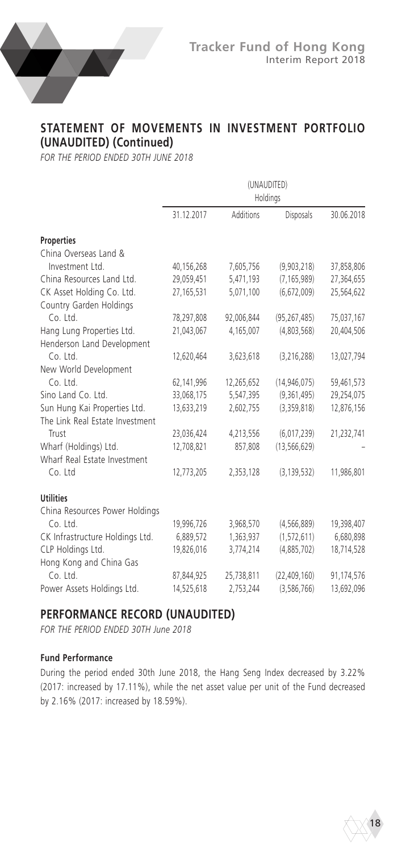

### **STATEMENT OF MOVEMENTS IN INVESTMENT PORTFOLIO (UNAUDITED) (Continued)**

*FOR THE PERIOD ENDED 30TH JUNE 2018*

|                                 | (UNAUDITED)<br>Holdings |            |                |            |
|---------------------------------|-------------------------|------------|----------------|------------|
|                                 | 31.12.2017              | Additions  | Disposals      | 30.06.2018 |
| <b>Properties</b>               |                         |            |                |            |
| China Overseas Land &           |                         |            |                |            |
| Investment Ltd.                 | 40,156,268              | 7,605,756  | (9,903,218)    | 37,858,806 |
| China Resources Land Ltd.       | 29,059,451              | 5,471,193  | (7, 165, 989)  | 27,364,655 |
| CK Asset Holding Co. Ltd.       | 27,165,531              | 5,071,100  | (6,672,009)    | 25,564,622 |
| Country Garden Holdings         |                         |            |                |            |
| Co. Ltd.                        | 78,297,808              | 92,006,844 | (95, 267, 485) | 75,037,167 |
| Hang Lung Properties Ltd.       | 21,043,067              | 4,165,007  | (4,803,568)    | 20,404,506 |
| Henderson Land Development      |                         |            |                |            |
| Co. Ltd.                        | 12,620,464              | 3,623,618  | (3,216,288)    | 13,027,794 |
| New World Development           |                         |            |                |            |
| Co. Ltd.                        | 62,141,996              | 12,265,652 | (14, 946, 075) | 59,461,573 |
| Sino Land Co. Ltd.              | 33,068,175              | 5,547,395  | (9,361,495)    | 29,254,075 |
| Sun Hung Kai Properties Ltd.    | 13,633,219              | 2,602,755  | (3,359,818)    | 12,876,156 |
| The Link Real Estate Investment |                         |            |                |            |
| Trust                           | 23,036,424              | 4,213,556  | (6,017,239)    | 21,232,741 |
| Wharf (Holdings) Ltd.           | 12,708,821              | 857,808    | (13, 566, 629) |            |
| Wharf Real Estate Investment    |                         |            |                |            |
| Co. Ltd                         | 12,773,205              | 2,353,128  | (3, 139, 532)  | 11,986,801 |
| <b>Utilities</b>                |                         |            |                |            |
| China Resources Power Holdings  |                         |            |                |            |
| Co. Ltd.                        | 19,996,726              | 3,968,570  | (4, 566, 889)  | 19,398,407 |
| CK Infrastructure Holdings Ltd. | 6,889,572               | 1,363,937  | (1,572,611)    | 6,680,898  |
| CLP Holdings Ltd.               | 19,826,016              | 3,774,214  | (4,885,702)    | 18,714,528 |
| Hong Kong and China Gas         |                         |            |                |            |
| Co. Ltd.                        | 87,844,925              | 25,738,811 | (22, 409, 160) | 91,174,576 |
| Power Assets Holdings Ltd.      | 14,525,618              | 2,753,244  | (3,586,766)    | 13,692,096 |

### **PERFORMANCE RECORD (UNAUDITED)**

*FOR THE PERIOD ENDED 30TH June 2018*

### **Fund Performance**

During the period ended 30th June 2018, the Hang Seng Index decreased by 3.22% (2017: increased by 17.11%), while the net asset value per unit of the Fund decreased by 2.16% (2017: increased by 18.59%).